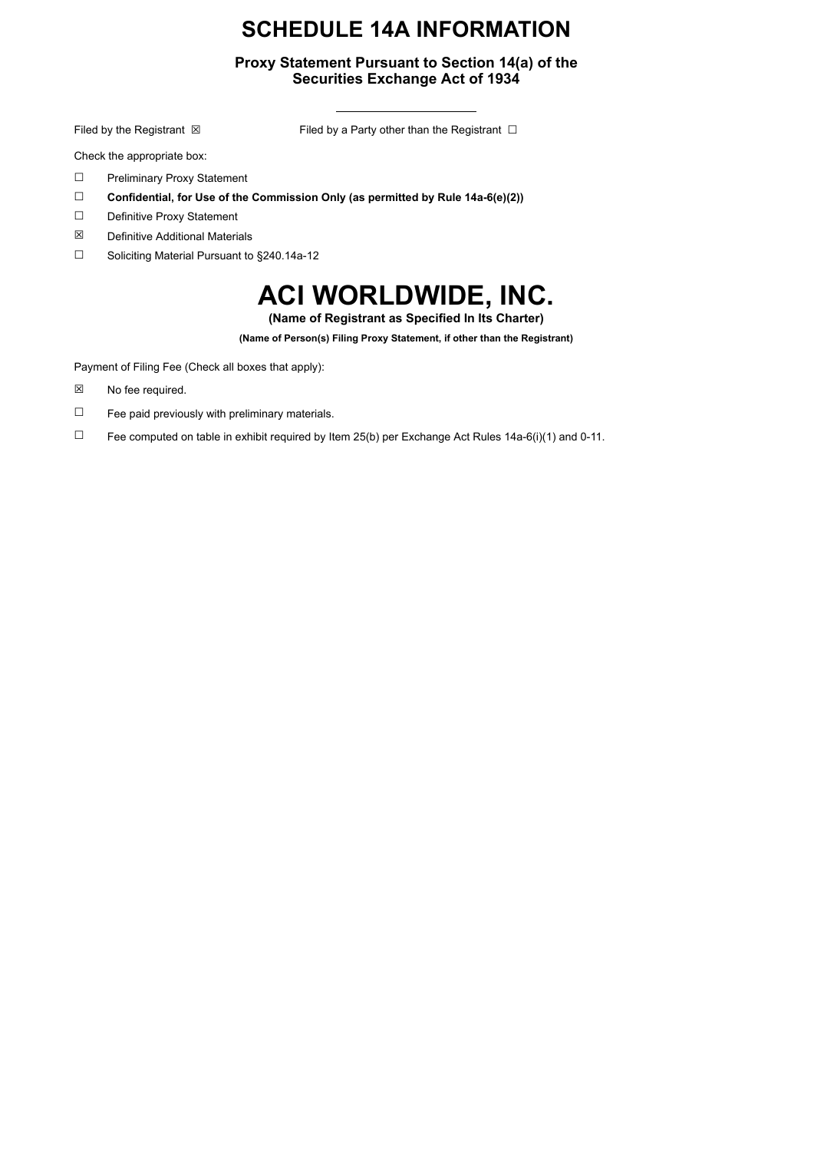# **SCHEDULE 14A INFORMATION**

## **Proxy Statement Pursuant to Section 14(a) of the Securities Exchange Act of 1934**

Filed by the Registrant ⊠ Filed by a Party other than the Registrant □

Check the appropriate box:

- ☐ Preliminary Proxy Statement
- ☐ **Confidential, for Use of the Commission Only (as permitted by Rule 14a-6(e)(2))**
- ☐ Definitive Proxy Statement
- ☒ Definitive Additional Materials
- ☐ Soliciting Material Pursuant to §240.14a-12

# **ACI WORLDWIDE, INC.**

**(Name of Registrant as Specified In Its Charter)**

**(Name of Person(s) Filing Proxy Statement, if other than the Registrant)**

Payment of Filing Fee (Check all boxes that apply):

- ☒ No fee required.
- $\Box$  Fee paid previously with preliminary materials.
- □ Fee computed on table in exhibit required by Item 25(b) per Exchange Act Rules 14a-6(i)(1) and 0-11.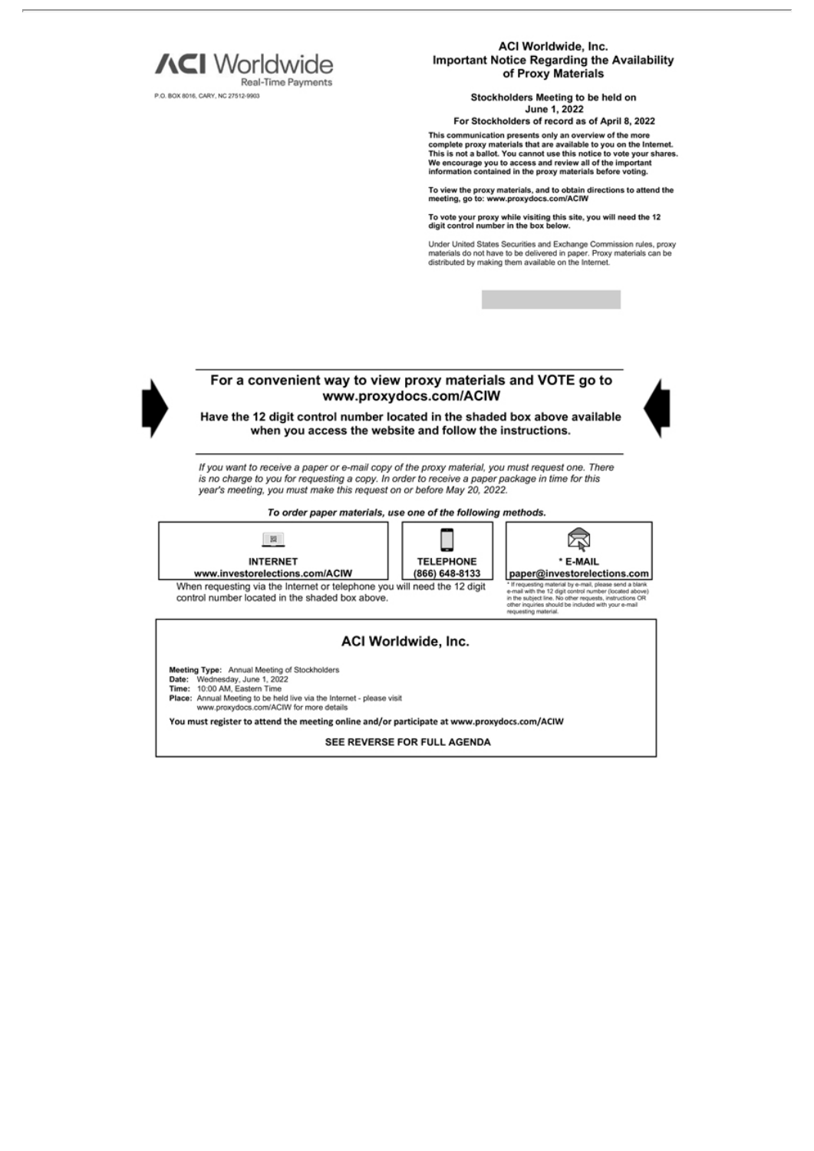

P.O. BOX 8016, CARY, NC 27512-9903

ACI Worldwide, Inc. Important Notice Regarding the Availability of Proxy Materials

> Stockholders Meeting to be held on June 1, 2022

For Stockholders of record as of April 8, 2022

This communication presents only an overview of the more complete proxy materials that are available to you on the Internet.<br>This is not a ballot. You cannot use this notice to vote your shares. We encourage you to access and review all of the important<br>information contained in the proxy materials before voting.

To view the proxy materials, and to obtain directions to attend the<br>meeting, go to: www.proxydocs.com/ACIW

To vote your proxy while visiting this site, you will need the 12<br>digit control number in the box below.

Under United States Securities and Exchange Commission rules, proxy<br>materials do not have to be delivered in paper. Proxy materials can be<br>distributed by making them available on the Internet.



### For a convenient way to view proxy materials and VOTE go to www.proxydocs.com/ACIW

Have the 12 digit control number located in the shaded box above available when you access the website and follow the instructions.

If you want to receive a paper or e-mail copy of the proxy material, you must request one. There is no charge to you for requesting a copy. In order to receive a paper package in time for this year's meeting, you must make this request on or before May 20, 2022.

#### To order paper materials, use one of the following methods.







When requesting via the Internet or telephone you will need the 12 digit control number located in the shaded box above.

### ACI Worldwide, Inc.

Meeting Type: Annual Meeting of Stockholders<br>Date: Wednesday, June 1, 2022<br>Time: 10:00 AM, Eastern Time

- 
- 
- Place: Annual Meeting to be held live via the Internet please visit<br>www.proxydocs.com/ACIW for more details

You must register to attend the meeting online and/or participate at www.proxydocs.com/ACIW

SEE REVERSE FOR FULL AGENDA